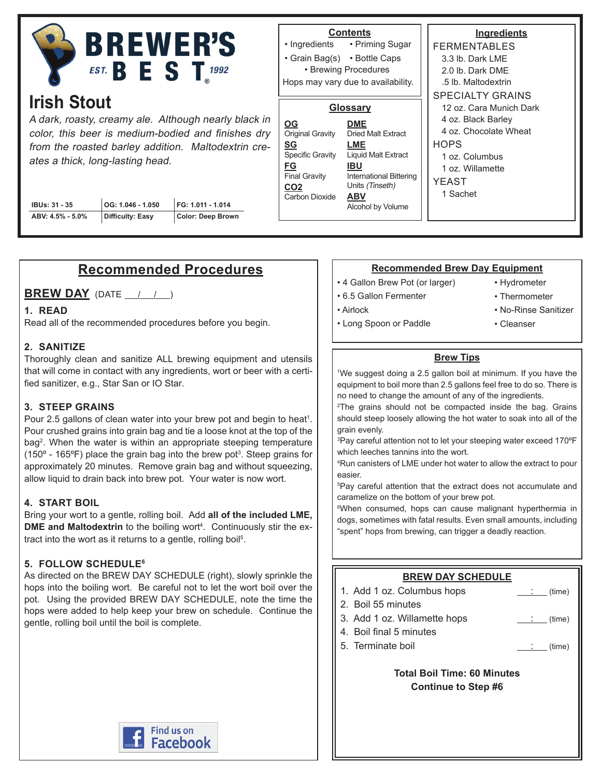

# **Irish Stout**

A dark, roasty, creamy ale. Although nearly black in color, this beer is medium-bodied and finishes dry from the roasted barley addition. Maltodextrin creates a thick, long-lasting head.

| IBUs: 31 - 35    | $\vert$ OG: 1.046 - 1.050 | FG: 1.011 - 1.014 |
|------------------|---------------------------|-------------------|
| ABV: 4.5% - 5.0% | Difficulty: Easy          | Color: Deep Brown |

#### **Contents**

• Priming Sugar • Grain Bag(s) • Bottle Caps • Ingredients • Brewing Procedures

Hops may vary due to availability.

#### **Glossary**

| OG                                                              | <b>DME</b>                                                                                  |  |
|-----------------------------------------------------------------|---------------------------------------------------------------------------------------------|--|
| <b>Original Gravity</b>                                         | <b>Dried Malt Extract</b>                                                                   |  |
| SG<br><b>Specific Gravity</b>                                   | LME<br><b>Liquid Malt Extract</b>                                                           |  |
| FG<br><b>Final Gravity</b><br>CO <sub>2</sub><br>Carbon Dioxide | IBU<br><b>International Bittering</b><br>Units (Tinseth)<br><b>ABV</b><br>Alcohol by Volume |  |

**Ingredients** FERMENTABLES 3.3 lb. Dark LME 2.0 lb. Dark DME .5 lb. Maltodextrin SPECIALTY GRAINS 12 oz. Cara Munich Dark 4 oz. Black Barley 4 oz. Chocolate Wheat **HOPS** 1 oz. Columbus

1 oz. Willamette

YEAST 1 Sachet

## **Recommended Procedures**

**BREW DAY** (DATE / / )

#### **1. READ**

Read all of the recommended procedures before you begin.

#### **2. SANITIZE**

Thoroughly clean and sanitize ALL brewing equipment and utensils that will come in contact with any ingredients, wort or beer with a certified sanitizer, e.g., Star San or IO Star.

#### **3. STEEP GRAINS**

Pour 2.5 gallons of clean water into your brew pot and begin to heat<sup>1</sup>. Pour crushed grains into grain bag and tie a loose knot at the top of the bag2 . When the water is within an appropriate steeping temperature (150° - 165°F) place the grain bag into the brew pot $^3$ . Steep grains for approximately 20 minutes. Remove grain bag and without squeezing, allow liquid to drain back into brew pot. Your water is now wort.

#### **4. START BOIL**

Bring your wort to a gentle, rolling boil. Add **all of the included LME, DME and Maltodextrin** to the boiling wort<sup>4</sup>. Continuously stir the extract into the wort as it returns to a gentle, rolling boil<sup>5</sup>.

#### **5. FOLLOW SCHEDULE6**

As directed on the BREW DAY SCHEDULE (right), slowly sprinkle the hops into the boiling wort. Be careful not to let the wort boil over the pot. Using the provided BREW DAY SCHEDULE, note the time the hops were added to help keep your brew on schedule. Continue the gentle, rolling boil until the boil is complete.

#### **Recommended Brew Day Equipment**

- 4 Gallon Brew Pot (or larger)
- 6.5 Gallon Fermenter
- Airlock

• Hydrometer

• Cleanser

- Thermometer
- No-Rinse Sanitizer
- Long Spoon or Paddle
	- **Brew Tips**

1 We suggest doing a 2.5 gallon boil at minimum. If you have the equipment to boil more than 2.5 gallons feel free to do so. There is no need to change the amount of any of the ingredients.

2 The grains should not be compacted inside the bag. Grains should steep loosely allowing the hot water to soak into all of the grain evenly.

3 Pay careful attention not to let your steeping water exceed 170ºF which leeches tannins into the wort.

4 Run canisters of LME under hot water to allow the extract to pour easier.

5 Pay careful attention that the extract does not accumulate and caramelize on the bottom of your brew pot.

6 When consumed, hops can cause malignant hyperthermia in dogs, sometimes with fatal results. Even small amounts, including "spent" hops from brewing, can trigger a deadly reaction.

#### **BREW DAY SCHEDULE**

1. Add 1 oz. Columbus hops  $\qquad \qquad \qquad \qquad$  (time) 2. Boil 55 minutes 3. Add 1 oz. Willamette hops : (time) 4. Boil final 5 minutes 5. Terminate boil : (time)

> **Total Boil Time: 60 Minutes Continue to Step #6**